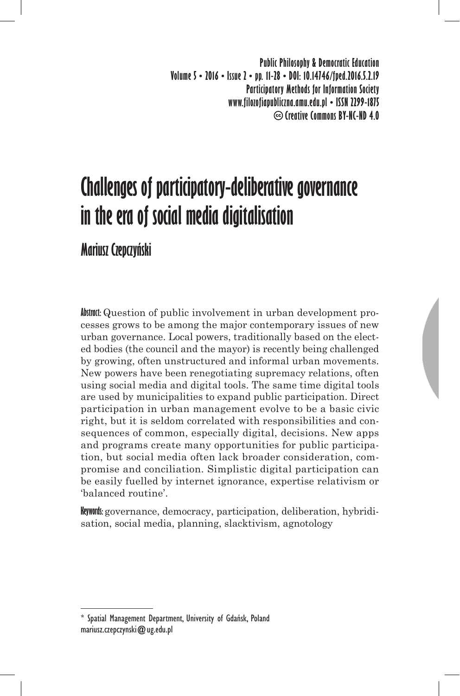**Public Philosophy & Democratic Education Volume 5 • 2016 • Issue 2 • pp. 11-28 • DOI: 10.14746/fped.2016.5.2.19 Participatory Methods for Information Society www.filozofiapubliczna.amu.edu.pl • ISSN 2299-1875 Creative Commons BY-NC-ND 4.0**

# **Challenges of participatory-deliberative governance in the era of social media digitalisation**

**Mariusz Czepczyński**

**Abstract:** Question of public involvement in urban development processes grows to be among the major contemporary issues of new urban governance. Local powers, traditionally based on the elected bodies (the council and the mayor) is recently being challenged by growing, often unstructured and informal urban movements. New powers have been renegotiating supremacy relations, often using social media and digital tools. The same time digital tools are used by municipalities to expand public participation. Direct participation in urban management evolve to be a basic civic right, but it is seldom correlated with responsibilities and consequences of common, especially digital, decisions. New apps and programs create many opportunities for public participation, but social media often lack broader consideration, compromise and conciliation. Simplistic digital participation can be easily fuelled by internet ignorance, expertise relativism or 'balanced routine'.

**Keywords:** governance, democracy, participation, deliberation, hybridisation, social media, planning, slacktivism, agnotology

Spatial Management Department, University of Gdańsk, Poland mariusz.czepczynski@ug.edu.pl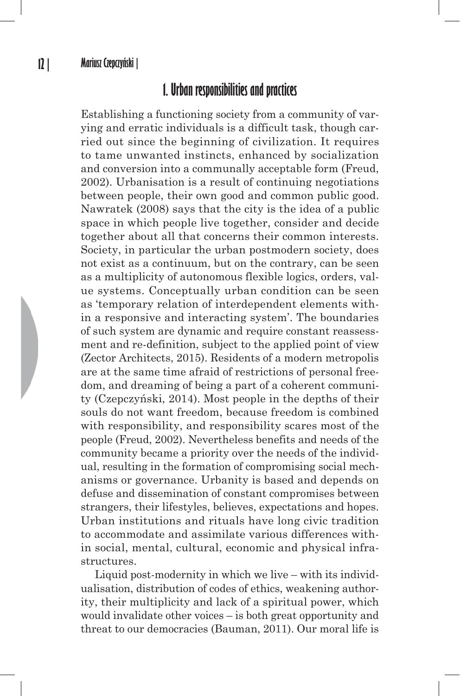## **1. Urban responsibilities and practices**

Establishing a functioning society from a community of varying and erratic individuals is a difficult task, though carried out since the beginning of civilization. It requires to tame unwanted instincts, enhanced by socialization and conversion into a communally acceptable form (Freud, 2002). Urbanisation is a result of continuing negotiations between people, their own good and common public good. Nawratek (2008) says that the city is the idea of a public space in which people live together, consider and decide together about all that concerns their common interests. Society, in particular the urban postmodern society, does not exist as a continuum, but on the contrary, can be seen as a multiplicity of autonomous flexible logics, orders, value systems. Conceptually urban condition can be seen as 'temporary relation of interdependent elements within a responsive and interacting system'. The boundaries of such system are dynamic and require constant reassessment and re-definition, subject to the applied point of view (Zector Architects, 2015). Residents of a modern metropolis are at the same time afraid of restrictions of personal freedom, and dreaming of being a part of a coherent community (Czepczyński, 2014). Most people in the depths of their souls do not want freedom, because freedom is combined with responsibility, and responsibility scares most of the people (Freud, 2002). Nevertheless benefits and needs of the community became a priority over the needs of the individual, resulting in the formation of compromising social mechanisms or governance. Urbanity is based and depends on defuse and dissemination of constant compromises between strangers, their lifestyles, believes, expectations and hopes. Urban institutions and rituals have long civic tradition to accommodate and assimilate various differences within social, mental, cultural, economic and physical infrastructures.

Liquid post-modernity in which we live – with its individualisation, distribution of codes of ethics, weakening authority, their multiplicity and lack of a spiritual power, which would invalidate other voices – is both great opportunity and threat to our democracies (Bauman, 2011). Our moral life is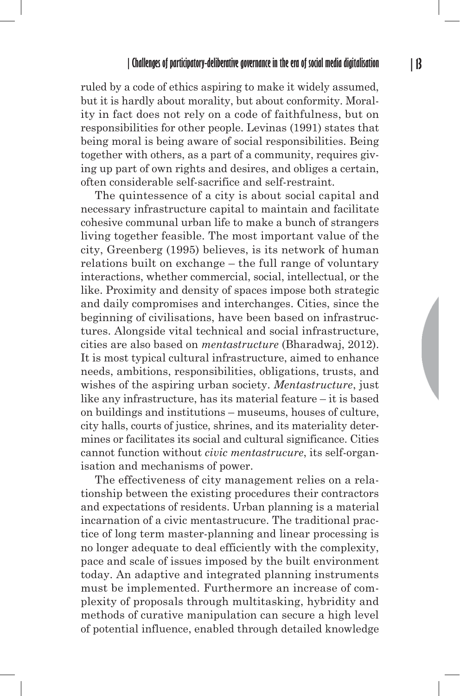ruled by a code of ethics aspiring to make it widely assumed, but it is hardly about morality, but about conformity. Morality in fact does not rely on a code of faithfulness, but on responsibilities for other people. Levinas (1991) states that being moral is being aware of social responsibilities. Being together with others, as a part of a community, requires giving up part of own rights and desires, and obliges a certain, often considerable self-sacrifice and self-restraint.

The quintessence of a city is about social capital and necessary infrastructure capital to maintain and facilitate cohesive communal urban life to make a bunch of strangers living together feasible. The most important value of the city, Greenberg (1995) believes, is its network of human relations built on exchange – the full range of voluntary interactions, whether commercial, social, intellectual, or the like. Proximity and density of spaces impose both strategic and daily compromises and interchanges. Cities, since the beginning of civilisations, have been based on infrastructures. Alongside vital technical and social infrastructure, cities are also based on *mentastructure* (Bharadwaj, 2012). It is most typical cultural infrastructure, aimed to enhance needs, ambitions, responsibilities, obligations, trusts, and wishes of the aspiring urban society. *Mentastructure*, just like any infrastructure, has its material feature – it is based on buildings and institutions – museums, houses of culture, city halls, courts of justice, shrines, and its materiality determines or facilitates its social and cultural significance. Cities cannot function without *civic mentastrucure*, its self-organisation and mechanisms of power.

The effectiveness of city management relies on a relationship between the existing procedures their contractors and expectations of residents. Urban planning is a material incarnation of a civic mentastrucure. The traditional practice of long term master-planning and linear processing is no longer adequate to deal efficiently with the complexity, pace and scale of issues imposed by the built environment today. An adaptive and integrated planning instruments must be implemented. Furthermore an increase of complexity of proposals through multitasking, hybridity and methods of curative manipulation can secure a high level of potential influence, enabled through detailed knowledge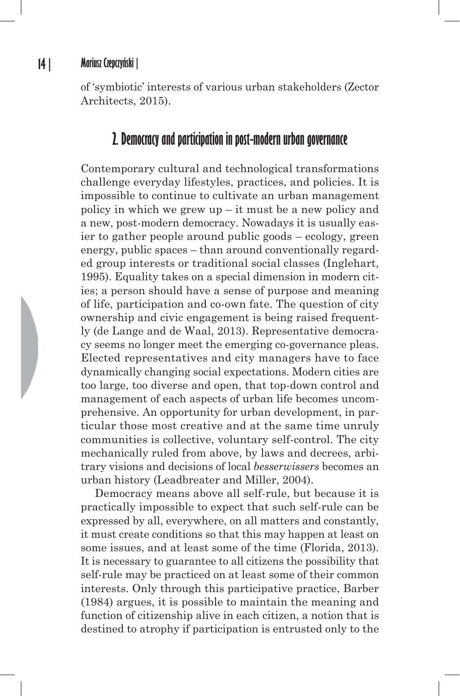of 'symbiotic' interests of various urban stakeholders (Zector Architects, 2015).

# **2. Democracy and participation in post-modern urban governance**

Contemporary cultural and technological transformations challenge everyday lifestyles, practices, and policies. It is impossible to continue to cultivate an urban management policy in which we grew up – it must be a new policy and a new, post-modern democracy. Nowadays it is usually easier to gather people around public goods – ecology, green energy, public spaces – than around conventionally regarded group interests or traditional social classes (Inglehart, 1995). Equality takes on a special dimension in modern cities; a person should have a sense of purpose and meaning of life, participation and co-own fate. The question of city ownership and civic engagement is being raised frequently (de Lange and de Waal, 2013). Representative democracy seems no longer meet the emerging co-governance pleas. Elected representatives and city managers have to face dynamically changing social expectations. Modern cities are too large, too diverse and open, that top-down control and management of each aspects of urban life becomes uncomprehensive. An opportunity for urban development, in particular those most creative and at the same time unruly communities is collective, voluntary self-control. The city mechanically ruled from above, by laws and decrees, arbitrary visions and decisions of local *besserwissers* becomes an urban history (Leadbreater and Miller, 2004).

Democracy means above all self-rule, but because it is practically impossible to expect that such self-rule can be expressed by all, everywhere, on all matters and constantly, it must create conditions so that this may happen at least on some issues, and at least some of the time (Florida, 2013). It is necessary to guarantee to all citizens the possibility that self-rule may be practiced on at least some of their common interests. Only through this participative practice, Barber (1984) argues, it is possible to maintain the meaning and function of citizenship alive in each citizen, a notion that is destined to atrophy if participation is entrusted only to the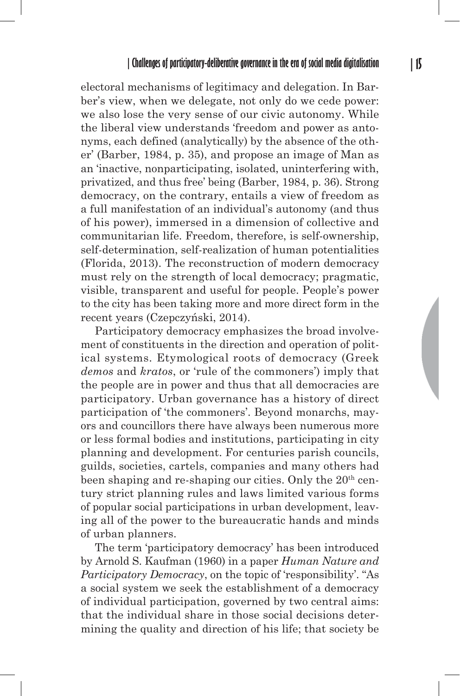electoral mechanisms of legitimacy and delegation. In Barber's view, when we delegate, not only do we cede power: we also lose the very sense of our civic autonomy. While the liberal view understands 'freedom and power as antonyms, each defined (analytically) by the absence of the other' (Barber, 1984, p. 35), and propose an image of Man as an 'inactive, nonparticipating, isolated, uninterfering with, privatized, and thus free' being (Barber, 1984, p. 36). Strong democracy, on the contrary, entails a view of freedom as a full manifestation of an individual's autonomy (and thus of his power), immersed in a dimension of collective and communitarian life. Freedom, therefore, is self-ownership, self-determination, self-realization of human potentialities (Florida, 2013). The reconstruction of modern democracy must rely on the strength of local democracy; pragmatic, visible, transparent and useful for people. People's power to the city has been taking more and more direct form in the recent years (Czepczyński, 2014).

Participatory democracy emphasizes the broad involvement of constituents in the direction and operation of political systems. Etymological roots of democracy (Greek *demos* and *kratos*, or 'rule of the commoners') imply that the people are in power and thus that all democracies are participatory. Urban governance has a history of direct participation of 'the commoners'. Beyond monarchs, mayors and councillors there have always been numerous more or less formal bodies and institutions, participating in city planning and development. For centuries parish councils, guilds, societies, cartels, companies and many others had been shaping and re-shaping our cities. Only the 20<sup>th</sup> century strict planning rules and laws limited various forms of popular social participations in urban development, leaving all of the power to the bureaucratic hands and minds of urban planners.

The term 'participatory democracy' has been introduced by Arnold S. Kaufman (1960) in a paper *Human Nature and Participatory Democracy*, on the topic of 'responsibility'. "As a social system we seek the establishment of a democracy of individual participation, governed by two central aims: that the individual share in those social decisions determining the quality and direction of his life; that society be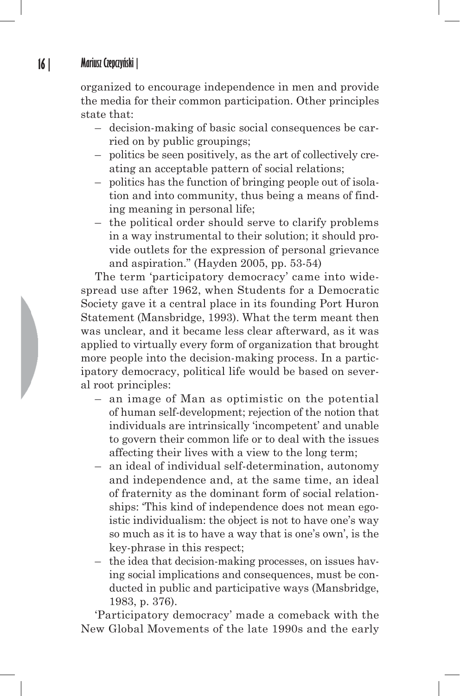organized to encourage independence in men and provide the media for their common participation. Other principles state that:

- decision-making of basic social consequences be carried on by public groupings;
- politics be seen positively, as the art of collectively creating an acceptable pattern of social relations;
- politics has the function of bringing people out of isolation and into community, thus being a means of finding meaning in personal life;
- the political order should serve to clarify problems in a way instrumental to their solution; it should provide outlets for the expression of personal grievance and aspiration." (Hayden 2005, pp. 53-54)

The term 'participatory democracy' came into widespread use after 1962, when Students for a Democratic Society gave it a central place in its founding Port Huron Statement (Mansbridge, 1993). What the term meant then was unclear, and it became less clear afterward, as it was applied to virtually every form of organization that brought more people into the decision-making process. In a participatory democracy, political life would be based on several root principles:

- an image of Man as optimistic on the potential of human self-development; rejection of the notion that individuals are intrinsically 'incompetent' and unable to govern their common life or to deal with the issues affecting their lives with a view to the long term;
- an ideal of individual self-determination, autonomy and independence and, at the same time, an ideal of fraternity as the dominant form of social relationships: 'This kind of independence does not mean egoistic individualism: the object is not to have one's way so much as it is to have a way that is one's own', is the key-phrase in this respect;
- the idea that decision-making processes, on issues having social implications and consequences, must be conducted in public and participative ways (Mansbridge, 1983, p. 376).

'Participatory democracy' made a comeback with the New Global Movements of the late 1990s and the early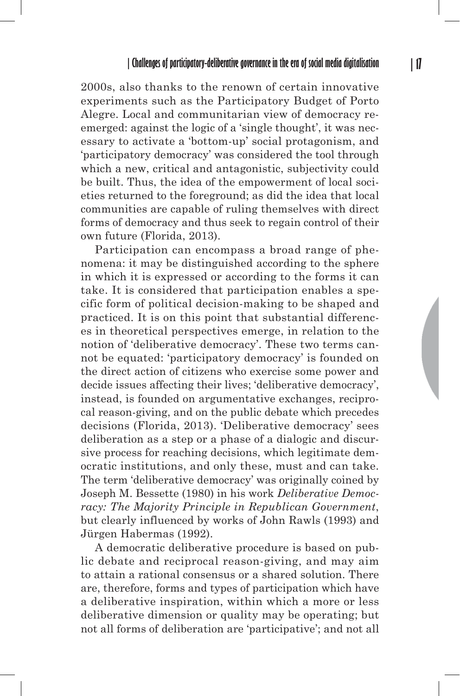2000s, also thanks to the renown of certain innovative experiments such as the Participatory Budget of Porto Alegre. Local and communitarian view of democracy reemerged: against the logic of a 'single thought', it was necessary to activate a 'bottom-up' social protagonism, and 'participatory democracy' was considered the tool through which a new, critical and antagonistic, subjectivity could be built. Thus, the idea of the empowerment of local societies returned to the foreground; as did the idea that local communities are capable of ruling themselves with direct forms of democracy and thus seek to regain control of their own future (Florida, 2013).

Participation can encompass a broad range of phenomena: it may be distinguished according to the sphere in which it is expressed or according to the forms it can take. It is considered that participation enables a specific form of political decision-making to be shaped and practiced. It is on this point that substantial differences in theoretical perspectives emerge, in relation to the notion of 'deliberative democracy'. These two terms cannot be equated: 'participatory democracy' is founded on the direct action of citizens who exercise some power and decide issues affecting their lives; 'deliberative democracy', instead, is founded on argumentative exchanges, reciprocal reason-giving, and on the public debate which precedes decisions (Florida, 2013). 'Deliberative democracy' sees deliberation as a step or a phase of a dialogic and discursive process for reaching decisions, which legitimate democratic institutions, and only these, must and can take. The term 'deliberative democracy' was originally coined by Joseph M. Bessette (1980) in his work *Deliberative Democracy: The Majority Principle in Republican Government*, but clearly influenced by works of John Rawls (1993) and Jürgen Habermas (1992).

A democratic deliberative procedure is based on public debate and reciprocal reason-giving, and may aim to attain a rational consensus or a shared solution. There are, therefore, forms and types of participation which have a deliberative inspiration, within which a more or less deliberative dimension or quality may be operating; but not all forms of deliberation are 'participative'; and not all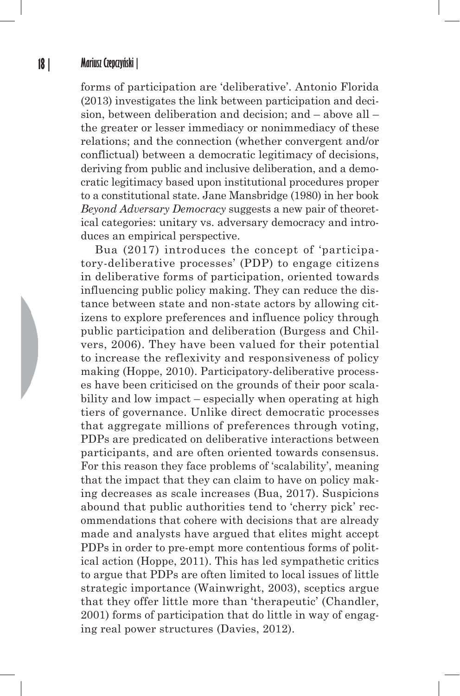forms of participation are 'deliberative'. Antonio Florida (2013) investigates the link between participation and decision, between deliberation and decision; and – above all – the greater or lesser immediacy or nonimmediacy of these relations; and the connection (whether convergent and/or conflictual) between a democratic legitimacy of decisions, deriving from public and inclusive deliberation, and a democratic legitimacy based upon institutional procedures proper to a constitutional state. Jane Mansbridge (1980) in her book *Beyond Adversary Democracy* suggests a new pair of theoretical categories: unitary vs. adversary democracy and introduces an empirical perspective.

Bua (2017) introduces the concept of 'participatory-deliberative processes' (PDP) to engage citizens in deliberative forms of participation, oriented towards influencing public policy making. They can reduce the distance between state and non-state actors by allowing citizens to explore preferences and influence policy through public participation and deliberation (Burgess and Chilvers, 2006). They have been valued for their potential to increase the reflexivity and responsiveness of policy making (Hoppe, 2010). Participatory-deliberative processes have been criticised on the grounds of their poor scalability and low impact – especially when operating at high tiers of governance. Unlike direct democratic processes that aggregate millions of preferences through voting, PDPs are predicated on deliberative interactions between participants, and are often oriented towards consensus. For this reason they face problems of 'scalability', meaning that the impact that they can claim to have on policy making decreases as scale increases (Bua, 2017). Suspicions abound that public authorities tend to 'cherry pick' recommendations that cohere with decisions that are already made and analysts have argued that elites might accept PDPs in order to pre-empt more contentious forms of political action (Hoppe, 2011). This has led sympathetic critics to argue that PDPs are often limited to local issues of little strategic importance (Wainwright, 2003), sceptics argue that they offer little more than 'therapeutic' (Chandler, 2001) forms of participation that do little in way of engaging real power structures (Davies, 2012).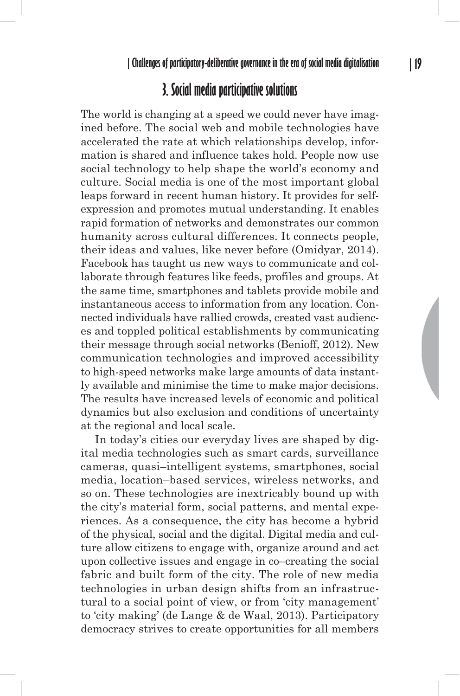# **3. Social media participative solutions**

The world is changing at a speed we could never have imagined before. The social web and mobile technologies have accelerated the rate at which relationships develop, information is shared and influence takes hold. People now use social technology to help shape the world's economy and culture. Social media is one of the most important global leaps forward in recent human history. It provides for selfexpression and promotes mutual understanding. It enables rapid formation of networks and demonstrates our common humanity across cultural differences. It connects people, their ideas and values, like never before (Omidyar, 2014). Facebook has taught us new ways to communicate and collaborate through features like feeds, profiles and groups. At the same time, smartphones and tablets provide mobile and instantaneous access to information from any location. Connected individuals have rallied crowds, created vast audiences and toppled political establishments by communicating their message through social networks (Benioff, 2012). New communication technologies and improved accessibility to high-speed networks make large amounts of data instantly available and minimise the time to make major decisions. The results have increased levels of economic and political dynamics but also exclusion and conditions of uncertainty at the regional and local scale.

In today's cities our everyday lives are shaped by digital media technologies such as smart cards, surveillance cameras, quasi–intelligent systems, smartphones, social media, location–based services, wireless networks, and so on. These technologies are inextricably bound up with the city's material form, social patterns, and mental experiences. As a consequence, the city has become a hybrid of the physical, social and the digital. Digital media and culture allow citizens to engage with, organize around and act upon collective issues and engage in co–creating the social fabric and built form of the city. The role of new media technologies in urban design shifts from an infrastructural to a social point of view, or from 'city management' to 'city making' (de Lange & de Waal, 2013). Participatory democracy strives to create opportunities for all members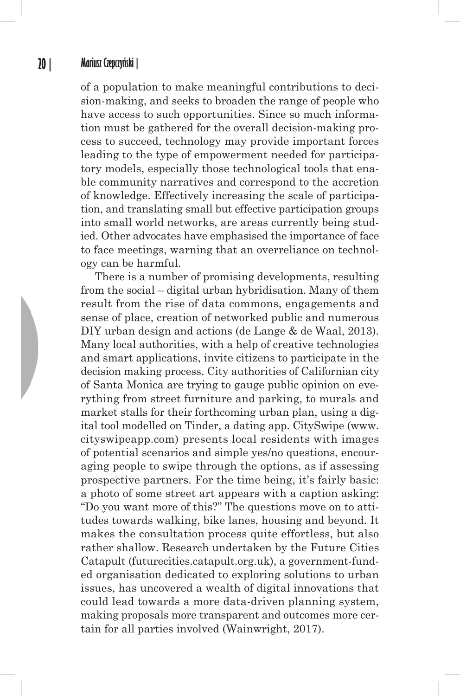of a population to make meaningful contributions to decision-making, and seeks to broaden the range of people who have access to such opportunities. Since so much information must be gathered for the overall decision-making process to succeed, technology may provide important forces leading to the type of empowerment needed for participatory models, especially those technological tools that enable community narratives and correspond to the accretion of knowledge. Effectively increasing the scale of participation, and translating small but effective participation groups into small world networks, are areas currently being studied. Other advocates have emphasised the importance of face to face meetings, warning that an overreliance on technology can be harmful.

There is a number of promising developments, resulting from the social – digital urban hybridisation. Many of them result from the rise of data commons, engagements and sense of place, creation of networked public and numerous DIY urban design and actions (de Lange & de Waal, 2013). Many local authorities, with a help of creative technologies and smart applications, invite citizens to participate in the decision making process. City authorities of Californian city of Santa Monica are trying to gauge public opinion on everything from street furniture and parking, to murals and market stalls for their forthcoming urban plan, using a digital tool modelled on Tinder, a dating app. CitySwipe (www. cityswipeapp.com) presents local residents with images of potential scenarios and simple yes/no questions, encouraging people to swipe through the options, as if assessing prospective partners. For the time being, it's fairly basic: a photo of some street art appears with a caption asking: "Do you want more of this?" The questions move on to attitudes towards walking, bike lanes, housing and beyond. It makes the consultation process quite effortless, but also rather shallow. Research undertaken by the Future Cities Catapult (futurecities.catapult.org.uk), a government-funded organisation dedicated to exploring solutions to urban issues, has uncovered a wealth of digital innovations that could lead towards a more data-driven planning system, making proposals more transparent and outcomes more certain for all parties involved (Wainwright, 2017).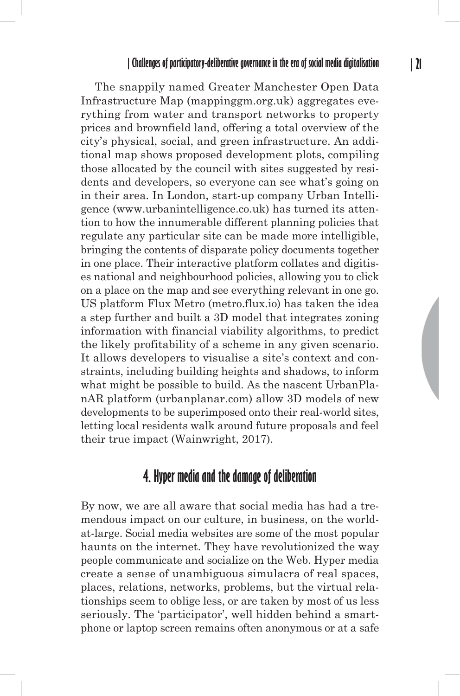The snappily named Greater Manchester Open Data Infrastructure Map (mappinggm.org.uk) aggregates everything from water and transport networks to property prices and brownfield land, offering a total overview of the city's physical, social, and green infrastructure. An additional map shows proposed development plots, compiling those allocated by the council with sites suggested by residents and developers, so everyone can see what's going on in their area. In London, start-up company Urban Intelligence (www.urbanintelligence.co.uk) has turned its attention to how the innumerable different planning policies that regulate any particular site can be made more intelligible, bringing the contents of disparate policy documents together in one place. Their interactive platform collates and digitises national and neighbourhood policies, allowing you to click on a place on the map and see everything relevant in one go. US platform Flux Metro (metro.flux.io) has taken the idea a step further and built a 3D model that integrates zoning information with financial viability algorithms, to predict the likely profitability of a scheme in any given scenario. It allows developers to visualise a site's context and constraints, including building heights and shadows, to inform what might be possible to build. As the nascent UrbanPlanAR platform (urbanplanar.com) allow 3D models of new developments to be superimposed onto their real-world sites, letting local residents walk around future proposals and feel their true impact (Wainwright, 2017).

## **4. Hyper media and the damage of deliberation**

By now, we are all aware that social media has had a tremendous impact on our culture, in business, on the worldat-large. Social media websites are some of the most popular haunts on the internet. They have revolutionized the way people communicate and socialize on the Web. Hyper media create a sense of unambiguous simulacra of real spaces, places, relations, networks, problems, but the virtual relationships seem to oblige less, or are taken by most of us less seriously. The 'participator', well hidden behind a smartphone or laptop screen remains often anonymous or at a safe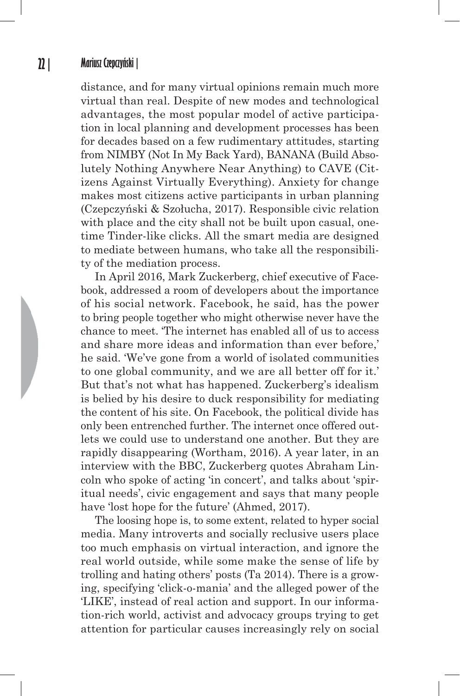distance, and for many virtual opinions remain much more virtual than real. Despite of new modes and technological advantages, the most popular model of active participation in local planning and development processes has been for decades based on a few rudimentary attitudes, starting from NIMBY (Not In My Back Yard), BANANA (Build Absolutely Nothing Anywhere Near Anything) to CAVE (Citizens Against Virtually Everything). Anxiety for change makes most citizens active participants in urban planning (Czepczyński & Szołucha, 2017). Responsible civic relation with place and the city shall not be built upon casual, onetime Tinder-like clicks. All the smart media are designed to mediate between humans, who take all the responsibility of the mediation process.

In April 2016, Mark Zuckerberg, chief executive of Facebook, addressed a room of developers about the importance of his social network. Facebook, he said, has the power to bring people together who might otherwise never have the chance to meet. 'The internet has enabled all of us to access and share more ideas and information than ever before,' he said. 'We've gone from a world of isolated communities to one global community, and we are all better off for it.' But that's not what has happened. Zuckerberg's idealism is belied by his desire to duck responsibility for mediating the content of his site. On Facebook, the political divide has only been entrenched further. The internet once offered outlets we could use to understand one another. But they are rapidly disappearing (Wortham, 2016). A year later, in an interview with the BBC, Zuckerberg quotes Abraham Lincoln who spoke of acting 'in concert', and talks about 'spiritual needs', civic engagement and says that many people have 'lost hope for the future' (Ahmed, 2017).

The loosing hope is, to some extent, related to hyper social media. Many introverts and socially reclusive users place too much emphasis on virtual interaction, and ignore the real world outside, while some make the sense of life by trolling and hating others' posts (Ta 2014). There is a growing, specifying 'click-o-mania' and the alleged power of the 'LIKE', instead of real action and support. In our information-rich world, activist and advocacy groups trying to get attention for particular causes increasingly rely on social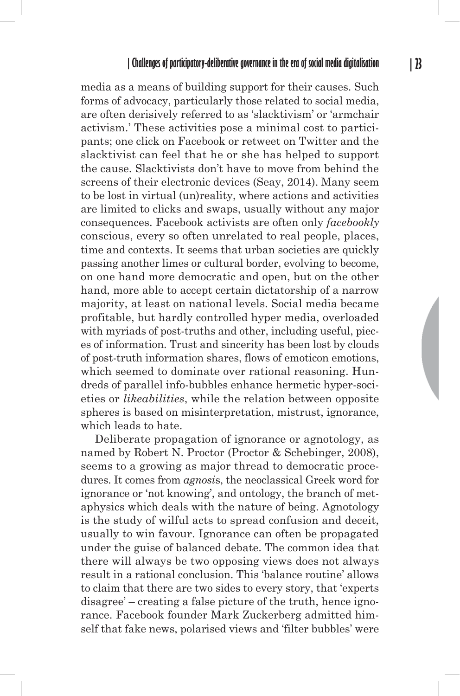media as a means of building support for their causes. Such forms of advocacy, particularly those related to social media, are often derisively referred to as 'slacktivism' or 'armchair activism.' These activities pose a minimal cost to participants; one click on Facebook or retweet on Twitter and the slacktivist can feel that he or she has helped to support the cause. Slacktivists don't have to move from behind the screens of their electronic devices (Seay, 2014). Many seem to be lost in virtual (un)reality, where actions and activities are limited to clicks and swaps, usually without any major consequences. Facebook activists are often only *facebookly* conscious, every so often unrelated to real people, places, time and contexts. It seems that urban societies are quickly passing another limes or cultural border, evolving to become, on one hand more democratic and open, but on the other hand, more able to accept certain dictatorship of a narrow majority, at least on national levels. Social media became profitable, but hardly controlled hyper media, overloaded with myriads of post-truths and other, including useful, pieces of information. Trust and sincerity has been lost by clouds of post-truth information shares, flows of emoticon emotions, which seemed to dominate over rational reasoning. Hundreds of parallel info-bubbles enhance hermetic hyper-societies or *likeabilities*, while the relation between opposite spheres is based on misinterpretation, mistrust, ignorance, which leads to hate.

Deliberate propagation of ignorance or agnotology, as named by Robert N. Proctor (Proctor & Schebinger, 2008), seems to a growing as major thread to democratic procedures. It comes from *agnosi*s, the neoclassical Greek word for ignorance or 'not knowing', and ontology, the branch of metaphysics which deals with the nature of being. Agnotology is the study of wilful acts to spread confusion and deceit, usually to win favour. Ignorance can often be propagated under the guise of balanced debate. The common idea that there will always be two opposing views does not always result in a rational conclusion. This 'balance routine' allows to claim that there are two sides to every story, that 'experts disagree' – creating a false picture of the truth, hence ignorance. Facebook founder Mark Zuckerberg admitted himself that fake news, polarised views and 'filter bubbles' were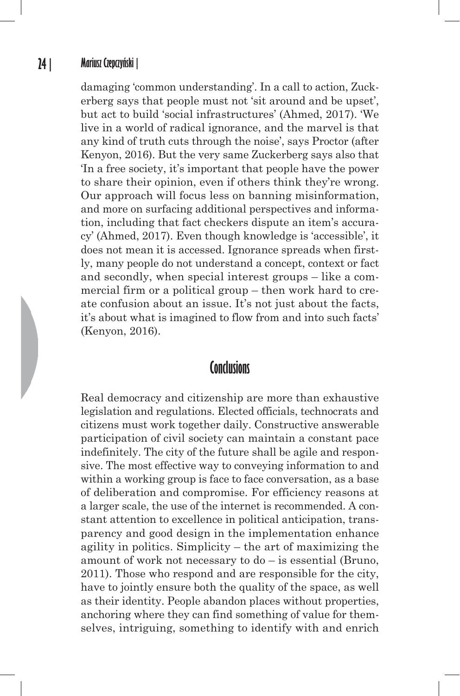damaging 'common understanding'. In a call to action, Zuckerberg says that people must not 'sit around and be upset', but act to build 'social infrastructures' (Ahmed, 2017). 'We live in a world of radical ignorance, and the marvel is that any kind of truth cuts through the noise', says Proctor (after Kenyon, 2016). But the very same Zuckerberg says also that 'In a free society, it's important that people have the power to share their opinion, even if others think they're wrong. Our approach will focus less on banning misinformation, and more on surfacing additional perspectives and information, including that fact checkers dispute an item's accuracy' (Ahmed, 2017). Even though knowledge is 'accessible', it does not mean it is accessed. Ignorance spreads when firstly, many people do not understand a concept, context or fact and secondly, when special interest groups – like a commercial firm or a political group – then work hard to create confusion about an issue. It's not just about the facts, it's about what is imagined to flow from and into such facts' (Kenyon, 2016).

## **Conclusions**

Real democracy and citizenship are more than exhaustive legislation and regulations. Elected officials, technocrats and citizens must work together daily. Constructive answerable participation of civil society can maintain a constant pace indefinitely. The city of the future shall be agile and responsive. The most effective way to conveying information to and within a working group is face to face conversation, as a base of deliberation and compromise. For efficiency reasons at a larger scale, the use of the internet is recommended. A constant attention to excellence in political anticipation, transparency and good design in the implementation enhance agility in politics. Simplicity – the art of maximizing the amount of work not necessary to do – is essential (Bruno, 2011). Those who respond and are responsible for the city, have to jointly ensure both the quality of the space, as well as their identity. People abandon places without properties, anchoring where they can find something of value for themselves, intriguing, something to identify with and enrich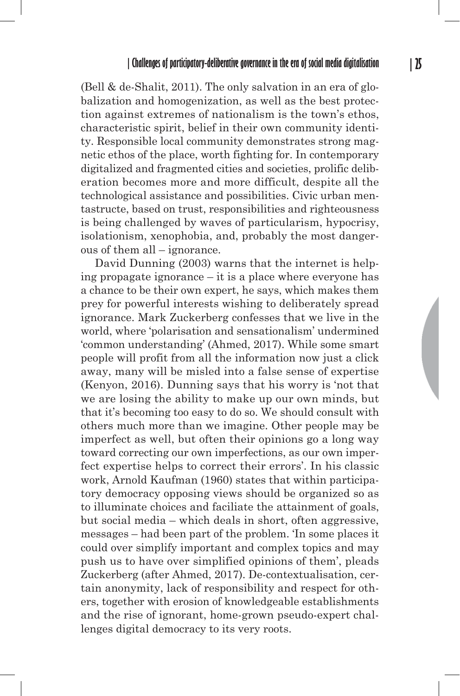(Bell & de-Shalit, 2011). The only salvation in an era of globalization and homogenization, as well as the best protection against extremes of nationalism is the town's ethos, characteristic spirit, belief in their own community identity. Responsible local community demonstrates strong magnetic ethos of the place, worth fighting for. In contemporary digitalized and fragmented cities and societies, prolific deliberation becomes more and more difficult, despite all the technological assistance and possibilities. Civic urban mentastructe, based on trust, responsibilities and righteousness is being challenged by waves of particularism, hypocrisy, isolationism, xenophobia, and, probably the most dangerous of them all – ignorance.

David Dunning (2003) warns that the internet is helping propagate ignorance – it is a place where everyone has a chance to be their own expert, he says, which makes them prey for powerful interests wishing to deliberately spread ignorance. Mark Zuckerberg confesses that we live in the world, where 'polarisation and sensationalism' undermined 'common understanding' (Ahmed, 2017). While some smart people will profit from all the information now just a click away, many will be misled into a false sense of expertise (Kenyon, 2016). Dunning says that his worry is 'not that we are losing the ability to make up our own minds, but that it's becoming too easy to do so. We should consult with others much more than we imagine. Other people may be imperfect as well, but often their opinions go a long way toward correcting our own imperfections, as our own imperfect expertise helps to correct their errors'. In his classic work, Arnold Kaufman (1960) states that within participatory democracy opposing views should be organized so as to illuminate choices and faciliate the attainment of goals, but social media – which deals in short, often aggressive, messages – had been part of the problem. 'In some places it could over simplify important and complex topics and may push us to have over simplified opinions of them', pleads Zuckerberg (after Ahmed, 2017). De-contextualisation, certain anonymity, lack of responsibility and respect for others, together with erosion of knowledgeable establishments and the rise of ignorant, home-grown pseudo-expert challenges digital democracy to its very roots.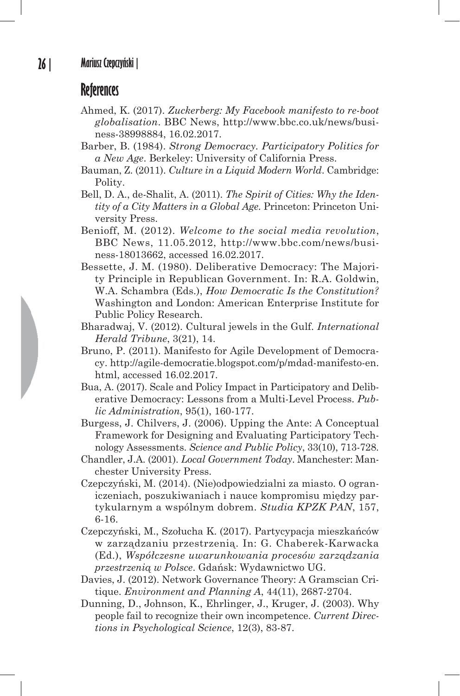## **References**

- Ahmed, K. (2017). *Zuckerberg: My Facebook manifesto to re-boot globalisation*. BBC News, http://www.bbc.co.uk/news/business-38998884, 16.02.2017.
- Barber, B. (1984). *Strong Democracy. Participatory Politics for a New Age*. Berkeley: University of California Press.
- Bauman, Z. (2011). *Culture in a Liquid Modern World*. Cambridge: Polity.
- Bell, D. A., de-Shalit, A. (2011). *The Spirit of Cities: Why the Identity of a City Matters in a Global Age.* Princeton: Princeton University Press.
- Benioff, M. (2012). *Welcome to the social media revolution*, BBC News, 11.05.2012, http://www.bbc.com/news/business-18013662, accessed 16.02.2017.
- Bessette, J. M. (1980). Deliberative Democracy: The Majority Principle in Republican Government. In: R.A. Goldwin, W.A. Schambra (Eds.), *How Democratic Is the Constitution?* Washington and London: American Enterprise Institute for Public Policy Research.
- Bharadwaj, V. (2012). Cultural jewels in the Gulf. *International Herald Tribune*, 3(21), 14.
- Bruno, P. (2011). Manifesto for Agile Development of Democracy. http://agile-democratie.blogspot.com/p/mdad-manifesto-en. html, accessed 16.02.2017.
- Bua, A. (2017). Scale and Policy Impact in Participatory and Deliberative Democracy: Lessons from a Multi-Level Process. *Public Administration*, 95(1), 160-177.
- Burgess, J. Chilvers, J. (2006). Upping the Ante: A Conceptual Framework for Designing and Evaluating Participatory Technology Assessments. *Science and Public Policy*, 33(10), 713-728.
- Chandler, J.A. (2001). *Local Government Today*. Manchester: Manchester University Press.
- Czepczyński, M. (2014). (Nie)odpowiedzialni za miasto. O ograniczeniach, poszukiwaniach i nauce kompromisu między partykularnym a wspólnym dobrem. *Studia KPZK PAN*, 157, 6-16.
- Czepczyński, M., Szołucha K. (2017). Partycypacja mieszkańców w zarządzaniu przestrzenią. In: G. Chaberek-Karwacka (Ed.), *Współczesne uwarunkowania procesów zarządzania przestrzenią w Polsce*. Gdańsk: Wydawnictwo UG.
- Davies, J. (2012). Network Governance Theory: A Gramscian Critique. *Environment and Planning A*, 44(11), 2687-2704.
- Dunning, D., Johnson, K., Ehrlinger, J., Kruger, J. (2003). Why people fail to recognize their own incompetence. *Current Directions in Psychological Science*, 12(3), 83-87.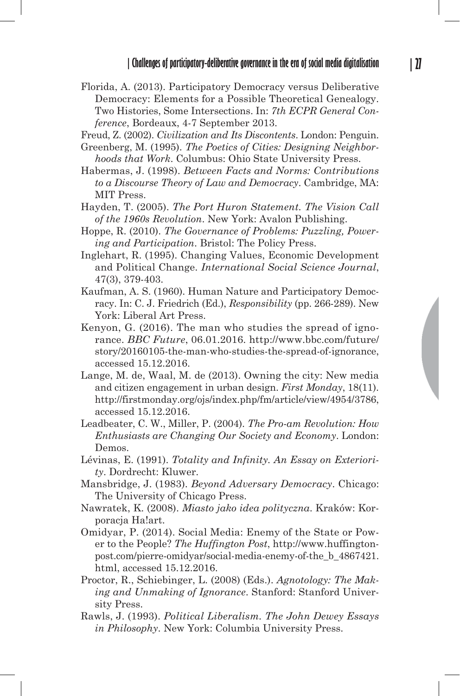Florida, A. (2013). Participatory Democracy versus Deliberative Democracy: Elements for a Possible Theoretical Genealogy. Two Histories, Some Intersections. In: *7th ECPR General Conference*, Bordeaux, 4-7 September 2013.

Freud, Z. (2002). *Civilization and Its Discontents*. London: Penguin.

- Greenberg, M. (1995). *The Poetics of Cities: Designing Neighborhoods that Work*. Columbus: Ohio State University Press.
- Habermas, J. (1998). *Between Facts and Norms: Contributions to a Discourse Theory of Law and Democracy*. Cambridge, MA: MIT Press.
- Hayden, T. (2005). *The Port Huron Statement. The Vision Call of the 1960s Revolution*. New York: Avalon Publishing.
- Hoppe, R. (2010). *The Governance of Problems: Puzzling, Powering and Participation*. Bristol: The Policy Press.
- Inglehart, R. (1995). Changing Values, Economic Development and Political Change. *International Social Science Journal*, 47(3), 379-403.
- Kaufman, A. S. (1960). Human Nature and Participatory Democracy. In: C. J. Friedrich (Ed.), *Responsibility* (pp. 266-289). New York: Liberal Art Press.
- Kenyon, G. (2016). The man who studies the spread of ignorance. *BBC Future*, 06.01.2016. http://www.bbc.com/future/ story/20160105-the-man-who-studies-the-spread-of-ignorance, accessed 15.12.2016.
- Lange, M. de, Waal, M. de (2013). Owning the city: New media and citizen engagement in urban design. *First Monday*, 18(11). http://firstmonday.org/ojs/index.php/fm/article/view/4954/3786, accessed 15.12.2016.
- Leadbeater, C. W., Miller, P. (2004). *The Pro-am Revolution: How Enthusiasts are Changing Our Society and Economy*. London: Demos.
- Lévinas, E. (1991). *Totality and Infinity. An Essay on Exteriority*. Dordrecht: Kluwer.
- Mansbridge, J. (1983). *Beyond Adversary Democracy*. Chicago: The University of Chicago Press.
- Nawratek, K. (2008). *Miasto jako idea polityczna*. Kraków: Korporacja Ha!art.
- Omidyar, P. (2014). Social Media: Enemy of the State or Power to the People? *The Huffington Post*, http://www.huffingtonpost.com/pierre-omidyar/social-media-enemy-of-the\_b\_4867421. html, accessed 15.12.2016.
- Proctor, R., Schiebinger, L. (2008) (Eds.). *Agnotology: The Making and Unmaking of Ignorance*. Stanford: Stanford University Press.
- Rawls, J. (1993). *Political Liberalism. The John Dewey Essays in Philosophy*. New York: Columbia University Press.